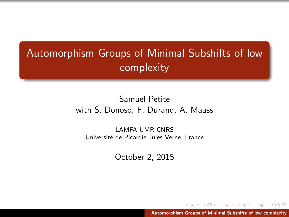# <span id="page-0-0"></span>Automorphism Groups of Minimal Subshifts of low complexity

# Samuel Petite with S. Donoso, F. Durand, A. Maass

LAMFA UMR CNRS Université de Picardie Jules Verne, France

October 2, 2015

 $\sqrt{1 + \left(\frac{1}{2}\right)^2 + \left(\frac{1}{2}\right)^2}$ [Automorphism Groups of Minimal Subshifts of low complexity](#page-62-0)

 $\leftarrow$   $\Box$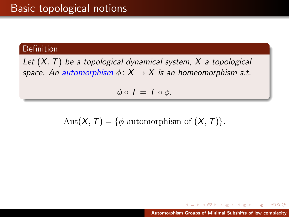### Definition

Let  $(X, T)$  be a topological dynamical system,  $X$  a topological space. An automorphism  $\phi: X \rightarrow X$  is an homeomorphism s.t.

 $\phi \circ T = T \circ \phi$ .

Aut $(X, T) = \{ \phi \text{ automorphism of } (X, T) \}.$ 

メ御 ドメ ミドメ ミドー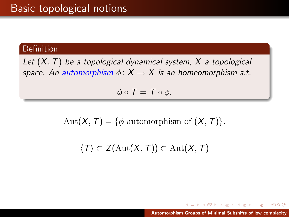### Definition

Let  $(X, T)$  be a topological dynamical system, X a topological space. An automorphism  $\phi: X \rightarrow X$  is an homeomorphism s.t.

 $\phi \circ T = T \circ \phi$ .

Aut $(X, T) = \{ \phi \text{ automorphism of } (X, T) \}.$ 

 $\langle T \rangle \subset Z(\text{Aut}(X,T)) \subset \text{Aut}(X,T)$ 

メタメ メミメ メミメー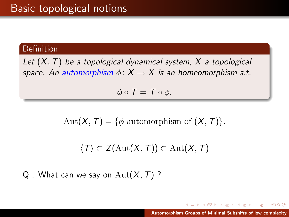### Definition

Let  $(X, T)$  be a topological dynamical system, X a topological space. An automorphism  $\phi: X \to X$  is an homeomorphism s.t.

 $\phi \circ T = T \circ \phi$ .

Aut $(X, T) = \{ \phi \text{ automorphism of } (X, T) \}.$ 

$$
\langle T\rangle\subset Z(\mathrm{Aut}(X,\,T))\subset \mathrm{Aut}(X,\,T)
$$

 $Q:$  What can we say on  $Aut(X, T)$  ?

 $4.50 \times 4.70 \times 4.70 \times$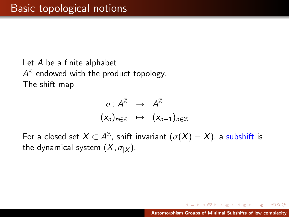Let A be a finite alphabet.  $A^{\mathbb{Z}}$  endowed with the product topology. The shift map

$$
\begin{array}{rcl}\n\sigma: A^{\mathbb{Z}} & \rightarrow & A^{\mathbb{Z}} \\
(x_n)_{n \in \mathbb{Z}} & \mapsto & (x_{n+1})_{n \in \mathbb{Z}}\n\end{array}
$$

For a closed set  $X\subset A^\mathbb{Z}$ , shift invariant  $(\sigma(X)=X)$ , a subshift is the dynamical system  $(X, \sigma_X)$ .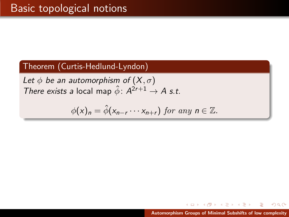Let  $\phi$  be an automorphism of  $(X,\sigma)$ There exists a local map  $\hat{\phi}$ :  $A^{2r+1} \rightarrow A$  s.t.

$$
\phi(x)_n = \hat{\phi}(x_{n-r} \cdots x_{n+r}) \text{ for any } n \in \mathbb{Z}.
$$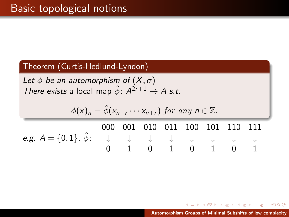Let  $\phi$  be an automorphism of  $(X,\sigma)$ There exists a local map  $\hat{\phi}$ :  $A^{2r+1} \rightarrow A$  s.t.

$$
\phi(x)_n = \hat{\phi}(x_{n-r} \cdots x_{n+r}) \text{ for any } n \in \mathbb{Z}.
$$
  
\n000 001 010 011 100 101 110 111  
\ne.g.  $A = \{0, 1\}, \hat{\phi} : \begin{array}{ccc} \downarrow & \downarrow & \downarrow & \downarrow & \downarrow \\ 0 & 1 & 0 & 1 & 0 & 1 \end{array}$ 

[Automorphism Groups of Minimal Subshifts of low complexity](#page-0-0)

K 御 と K 君 と K 君 と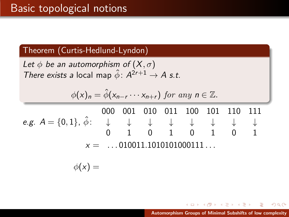Let  $\phi$  be an automorphism of  $(X,\sigma)$ There exists a local map  $\hat{\phi}$ :  $A^{2r+1} \rightarrow A$  s.t.

$$
\phi(x)_n = \hat{\phi}(x_{n-r} \cdots x_{n+r}) \text{ for any } n \in \mathbb{Z}.
$$

e.g.  $A = \{0,1\}$ ,  $\hat{\phi}$ : 000 001 010 011 100 101 110 111 ↓ ↓ ↓ ↓ ↓ ↓ ↓ ↓ 0 1 0 1 0 1 0 1  $x =$  ... 010011.1010101000111...

$$
\phi(x) =
$$

[Automorphism Groups of Minimal Subshifts of low complexity](#page-0-0)

∢ 御 ▶ 《 唐 ▶ 《 唐 ▶ 》

舌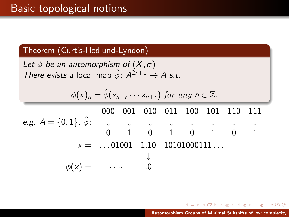Let  $\phi$  be an automorphism of  $(X,\sigma)$ There exists a local map  $\hat{\phi}$ :  $A^{2r+1} \rightarrow A$  s.t.

$$
\phi(x)_n = \hat{\phi}(x_{n-r} \cdots x_{n+r}) \text{ for any } n \in \mathbb{Z}.
$$

e.g.  $A = \{0,1\}$ ,  $\hat{\phi}$ : 000 001 010 011 100 101 110 111 ↓ ↓ ↓ ↓ ↓ ↓ ↓ ↓ 0 1 0 1 0 1 0 1  $x =$  ...01001 1.10 10101000111... ↓  $\phi(x) =$   $\cdots$  .0

K 御 ▶ K 君 ▶ K 君 ▶ ○ 君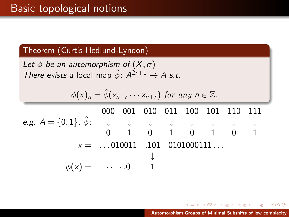Let  $\phi$  be an automorphism of  $(X,\sigma)$ There exists a local map  $\hat{\phi}$ :  $A^{2r+1} \rightarrow A$  s.t.

$$
\phi(x)_n = \hat{\phi}(x_{n-r} \cdots x_{n+r}) \text{ for any } n \in \mathbb{Z}.
$$

e.g.  $A = \{0,1\}$ ,  $\hat{\phi}$ : 000 001 010 011 100 101 110 111 ↓ ↓ ↓ ↓ ↓ ↓ ↓ ↓ 0 1 0 1 0 1 0 1  $x =$  ...010011 .101 0101000111... ↓  $\phi(x) = \quad \cdots 0 \quad 1$ 

K 御 ▶ K 君 ▶ K 君 ▶ ○ 君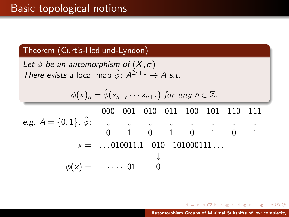Let  $\phi$  be an automorphism of  $(X,\sigma)$ There exists a local map  $\hat{\phi}$ :  $A^{2r+1} \rightarrow A$  s.t.

$$
\phi(x)_n = \hat{\phi}(x_{n-r} \cdots x_{n+r}) \text{ for any } n \in \mathbb{Z}.
$$

e.g.  $A = \{0,1\}$ ,  $\hat{\phi}$ : 000 001 010 011 100 101 110 111 ↓ ↓ ↓ ↓ ↓ ↓ ↓ ↓ 0 1 0 1 0 1 0 1  $x =$  ...010011.1 010 101000111... ↓  $\phi(x) = \cdots 01$ 

K 御 ▶ K 君 ▶ K 君 ▶ ○ 君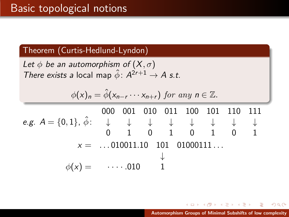Let  $\phi$  be an automorphism of  $(X,\sigma)$ There exists a local map  $\hat{\phi}$ :  $A^{2r+1} \rightarrow A$  s.t.

$$
\phi(x)_n = \hat{\phi}(x_{n-r} \cdots x_{n+r}) \text{ for any } n \in \mathbb{Z}.
$$

e.g.  $A = \{0,1\}$ ,  $\hat{\phi}$ : 000 001 010 011 100 101 110 111 ↓ ↓ ↓ ↓ ↓ ↓ ↓ ↓ 0 1 0 1 0 1 0 1  $x =$  ...010011.10 101 01000111... ↓  $\phi(x) = \cdots 010$ 

K 御 ▶ K 君 ▶ K 君 ▶ ○ 君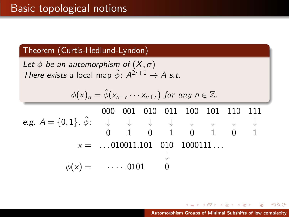Let  $\phi$  be an automorphism of  $(X,\sigma)$ There exists a local map  $\hat{\phi}$ :  $A^{2r+1} \rightarrow A$  s.t.

$$
\phi(x)_n = \hat{\phi}(x_{n-r} \cdots x_{n+r}) \text{ for any } n \in \mathbb{Z}.
$$

e.g.  $A = \{0,1\}$ ,  $\hat{\phi}$ : 000 001 010 011 100 101 110 111 ↓ ↓ ↓ ↓ ↓ ↓ ↓ ↓ 0 1 0 1 0 1 0 1  $x =$  ...010011.101 010 1000111... ↓  $\phi(x) = \cdots 0101$ 

K 御 ▶ K 君 ▶ K 君 ▶ ○ 君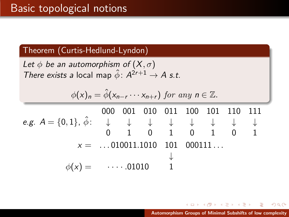Let  $\phi$  be an automorphism of  $(X,\sigma)$ There exists a local map  $\hat{\phi}$ :  $A^{2r+1} \rightarrow A$  s.t.

$$
\phi(x)_n = \hat{\phi}(x_{n-r} \cdots x_{n+r}) \text{ for any } n \in \mathbb{Z}.
$$

e.g.  $A = \{0,1\}$ ,  $\hat{\phi}$ : 000 001 010 011 100 101 110 111 ↓ ↓ ↓ ↓ ↓ ↓ ↓ ↓ 0 1 0 1 0 1 0 1  $x =$  ...010011.1010 101 000111... ↓  $\phi(x) = \cdots 01010$ 

K 御 ▶ K 君 ▶ K 君 ▶ ○ 君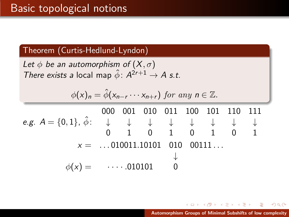Let  $\phi$  be an automorphism of  $(X,\sigma)$ There exists a local map  $\hat{\phi}$ :  $A^{2r+1} \rightarrow A$  s.t.

$$
\phi(x)_n = \hat{\phi}(x_{n-r} \cdots x_{n+r}) \text{ for any } n \in \mathbb{Z}.
$$

e.g.  $A = \{0,1\}$ ,  $\hat{\phi}$ : 000 001 010 011 100 101 110 111 ↓ ↓ ↓ ↓ ↓ ↓ ↓ ↓ 0 1 0 1 0 1 0 1  $x =$  ...010011.10101 010 00111... ↓  $\phi(x) = \cdots 010101$ 

メ御 メメモ メメモ メーモ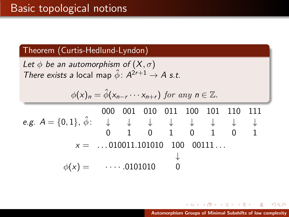Let  $\phi$  be an automorphism of  $(X,\sigma)$ There exists a local map  $\hat{\phi}$ :  $A^{2r+1} \rightarrow A$  s.t.

$$
\phi(x)_n = \hat{\phi}(x_{n-r} \cdots x_{n+r}) \text{ for any } n \in \mathbb{Z}.
$$

e.g.  $A = \{0,1\}$ ,  $\hat{\phi}$ : 000 001 010 011 100 101 110 111 ↓ ↓ ↓ ↓ ↓ ↓ ↓ ↓ 0 1 0 1 0 1 0 1  $x =$  ... 010011.101010 100 00111... ↓  $\phi(x) = \cdots 0101010$ 

K 御 ▶ K 君 ▶ K 君 ▶ ○ 君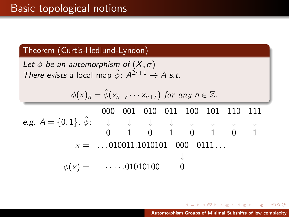Let  $\phi$  be an automorphism of  $(X,\sigma)$ There exists a local map  $\hat{\phi}$ :  $A^{2r+1} \rightarrow A$  s.t.

$$
\phi(x)_n = \hat{\phi}(x_{n-r} \cdots x_{n+r}) \text{ for any } n \in \mathbb{Z}.
$$

e.g.  $A = \{0,1\}$ ,  $\hat{\phi}$ : 000 001 010 011 100 101 110 111 ↓ ↓ ↓ ↓ ↓ ↓ ↓ ↓ 0 1 0 1 0 1 0 1  $x =$  ... 010011.1010101 000 0111... ↓  $\phi(x) =$   $\cdots$  .01010100

K 御 ▶ K 君 ▶ K 君 ▶ ○ 君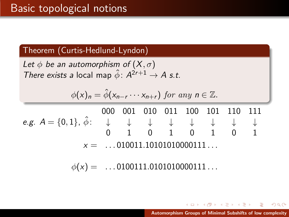Let  $\phi$  be an automorphism of  $(X,\sigma)$ There exists a local map  $\hat{\phi}$ :  $A^{2r+1} \rightarrow A$  s.t.

$$
\phi(x)_n = \hat{\phi}(x_{n-r} \cdots x_{n+r}) \text{ for any } n \in \mathbb{Z}.
$$

e.g. A = {0, 1}, φˆ: ↓ ↓ ↓ ↓ ↓ ↓ ↓ ↓ 000 001 010 011 100 101 110 111 0 1 0 1 0 1 0 1  $x =$  ... 010011.10101010000111...

 $\phi(x) =$  ...0100111.0101010000111...

[Automorphism Groups of Minimal Subshifts of low complexity](#page-0-0)

メ御 メメモ メモ メーモ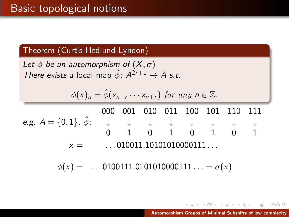Let  $\phi$  be an automorphism of  $(X,\sigma)$ There exists a local map  $\hat{\phi}$ :  $A^{2r+1} \rightarrow A$  s.t.

$$
\phi(x)_n = \hat{\phi}(x_{n-r} \cdots x_{n+r}) \text{ for any } n \in \mathbb{Z}.
$$

e.g. A = {0, 1}, φˆ: ↓ ↓ ↓ ↓ ↓ ↓ ↓ ↓ 000 001 010 011 100 101 110 111 0 1 0 1 0 1 0 1  $x =$  ...010011.10101010000111...

 $\phi(x) =$  ...0100111.0101010000111... =  $\sigma(x)$ 

[Automorphism Groups of Minimal Subshifts of low complexity](#page-0-0)

→ (御)→ (唐)→ (唐)→ (唐)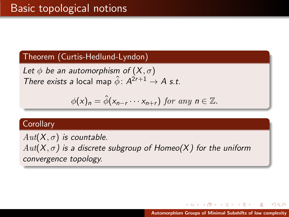Let  $\phi$  be an automorphism of  $(X,\sigma)$ There exists a local map  $\hat{\phi}$ :  $A^{2r+1} \rightarrow A$  s.t.

$$
\phi(x)_n = \hat{\phi}(x_{n-r} \cdots x_{n+r}) \text{ for any } n \in \mathbb{Z}.
$$

#### **Corollary**

 $Aut(X, \sigma)$  is countable.  $Aut(X, \sigma)$  is a discrete subgroup of Homeo(X) for the uniform convergence topology.

メ御 トメミトメミト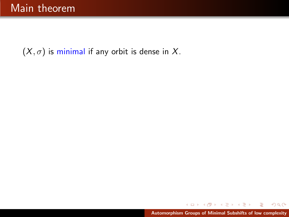$(X, \sigma)$  is minimal if any orbit is dense in X.

 $299$ 

扂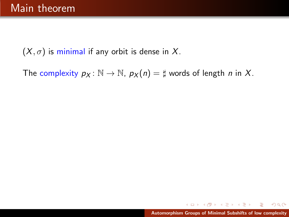$(X, \sigma)$  is minimal if any orbit is dense in X.

The complexity  $p_X : \mathbb{N} \to \mathbb{N}$ ,  $p_X(n) = \sharp$  words of length *n* in *X*.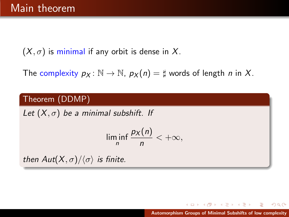$(X, \sigma)$  is minimal if any orbit is dense in X.

The complexity  $p_X : \mathbb{N} \to \mathbb{N}$ ,  $p_X(n) = \sharp$  words of length *n* in X.

# Theorem (DDMP)

Let  $(X, \sigma)$  be a minimal subshift. If

$$
\liminf_n \frac{p_X(n)}{n} < +\infty,
$$

then  $Aut(X, \sigma)/\langle \sigma \rangle$  is finite.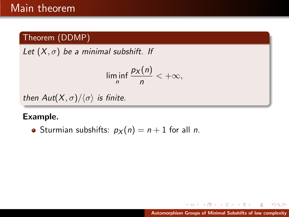Let  $(X, \sigma)$  be a minimal subshift. If

$$
\liminf_n \frac{p_X(n)}{n} < +\infty,
$$

then  $Aut(X,\sigma)/\langle \sigma \rangle$  is finite.

# Example.

• Sturmian subshifts:  $p_X(n) = n + 1$  for all *n*.

 $2Q$ 

目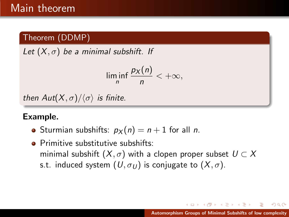Let  $(X, \sigma)$  be a minimal subshift. If

$$
\liminf_n \frac{p_X(n)}{n} < +\infty,
$$

then  $Aut(X,\sigma)/\langle \sigma \rangle$  is finite.

# Example.

- Sturmian subshifts:  $p_X(n) = n + 1$  for all *n*.
- **•** Primitive substitutive subshifts: minimal subshift  $(X, \sigma)$  with a clopen proper subset  $U \subset X$ s.t. induced system  $(U, \sigma_U)$  is conjugate to  $(X, \sigma)$ .

メタトメミトメミト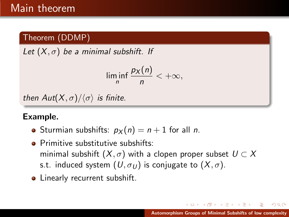Let  $(X, \sigma)$  be a minimal subshift. If

$$
\liminf_n \frac{p_X(n)}{n} < +\infty,
$$

then  $Aut(X,\sigma)/\langle \sigma \rangle$  is finite.

# Example.

- Sturmian subshifts:  $p_X(n) = n + 1$  for all *n*.
- **•** Primitive substitutive subshifts: minimal subshift  $(X, \sigma)$  with a clopen proper subset  $U \subset X$ s.t. induced system  $(U, \sigma_U)$  is conjugate to  $(X, \sigma)$ .
- Linearly recurrent subshift.

 $\rightarrow$   $\oplus$   $\rightarrow$   $\rightarrow$   $\oplus$   $\rightarrow$   $\rightarrow$   $\oplus$   $\rightarrow$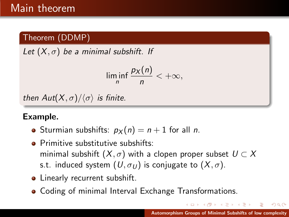Let  $(X, \sigma)$  be a minimal subshift. If

$$
\liminf_n \frac{p_X(n)}{n} < +\infty,
$$

then  $Aut(X,\sigma)/\langle \sigma \rangle$  is finite.

# Example.

- Sturmian subshifts:  $p_X(n) = n + 1$  for all *n*.
- **•** Primitive substitutive subshifts: minimal subshift  $(X, \sigma)$  with a clopen proper subset  $U \subset X$ s.t. induced system  $(U, \sigma_U)$  is conjugate to  $(X, \sigma)$ .
- Linearly recurrent subshift.
- **Coding of minimal Interval Exchange Transformations.**

→ 伊 ▶ → ミ ▶ → モ ▶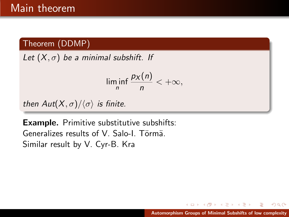Let  $(X, \sigma)$  be a minimal subshift. If

$$
\liminf_n \frac{p_X(n)}{n} < +\infty,
$$

then  $Aut(X, \sigma)/\langle \sigma \rangle$  is finite.

Example. Primitive substitutive subshifts: Generalizes results of V. Salo-L. Törmä. Similar result by V. Cyr-B. Kra

 $\left\{ \bigoplus_{i=1}^{n} \mathbb{P} \left[ \bigoplus_{i=1}^{n} \mathbb{P} \left[ \bigoplus_{i=1}^{n} \mathbb{P} \left[ \bigoplus_{i=1}^{n} \mathbb{P} \left[ \bigoplus_{i=1}^{n} \mathbb{P} \left[ \bigoplus_{i=1}^{n} \mathbb{P} \left[ \bigoplus_{i=1}^{n} \mathbb{P} \left[ \bigoplus_{i=1}^{n} \mathbb{P} \left[ \bigoplus_{i=1}^{n} \mathbb{P} \left[ \bigoplus_{i=1}^{n} \mathbb{P} \left[ \bigoplus_{i$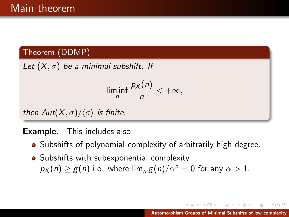Let  $(X, \sigma)$  be a minimal subshift. If

$$
\liminf_n \frac{p_X(n)}{n} < +\infty,
$$

then  $Aut(X,\sigma)/\langle \sigma \rangle$  is finite.

# **Example.** This includes also

- Subshifts of polynomial complexity of arbitrarily high degree.
- Subshifts with subexponential complexity  $p_X(n) \geq g(n)$  i.o. where  $\lim_{n \to \infty} g(n)/\alpha^n = 0$  for any  $\alpha > 1$ .

 $A \oplus A$  and  $A \oplus A$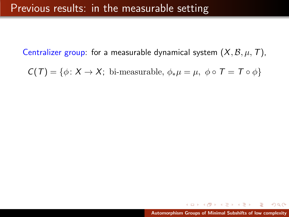Centralizer group: for a measurable dynamical system  $(X, \mathcal{B}, \mu, T)$ ,

 $C(T) = \{\phi \colon X \to X; \text{ bi-measurable}, \phi_*\mu = \mu, \phi \circ T = T \circ \phi\}$ 

 $\left\{ \bigoplus_{i=1}^{n} \mathbb{P} \right\} \times \left\{ \bigoplus_{i=1}^{n} \mathbb{P} \right\} \times \left\{ \bigoplus_{i=1}^{n} \mathbb{P} \right\}$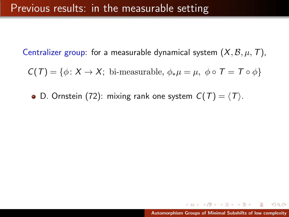Centralizer group: for a measurable dynamical system  $(X, \mathcal{B}, \mu, T)$ ,

 $C(T) = \{\phi: X \to X; \text{ bi-measurable}, \phi_*\mu = \mu, \phi \circ T = T \circ \phi\}$ 

• D. Ornstein (72): mixing rank one system  $C(T) = \langle T \rangle$ .

イロン イ御ン イミン イミン 一番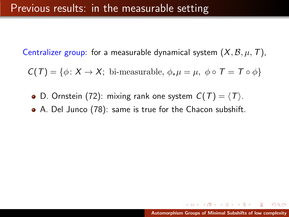Centralizer group: for a measurable dynamical system  $(X, \mathcal{B}, \mu, T)$ ,

 $C(T) = \{\phi: X \to X; \text{ bi-measurable}, \phi_*\mu = \mu, \phi \circ T = T \circ \phi\}$ 

- D. Ornstein (72): mixing rank one system  $C(T) = \langle T \rangle$ .
- A. Del Junco (78): same is true for the Chacon subshift.

 $A \cap \overline{A} \cap A \cap A \cap B \cap A \cap B \cap A \cap B \cap B$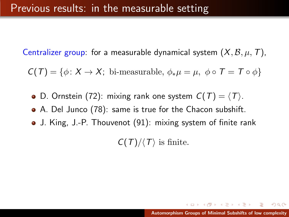Centralizer group: for a measurable dynamical system  $(X, \mathcal{B}, \mu, T)$ ,

 $C(T) = \{\phi: X \to X; \text{ bi-measurable}, \phi_*\mu = \mu, \phi \circ T = T \circ \phi\}$ 

- D. Ornstein (72): mixing rank one system  $C(T) = \langle T \rangle$ .
- A. Del Junco (78): same is true for the Chacon subshift.
- J. King, J.-P. Thouvenot (91): mixing system of finite rank

 $C(T)/\langle T \rangle$  is finite.

 $(0,1)$   $(0,1)$   $(0,1)$   $(1,1)$   $(1,1)$   $(1,1)$   $(1,1)$   $(1,1)$   $(1,1)$   $(1,1)$   $(1,1)$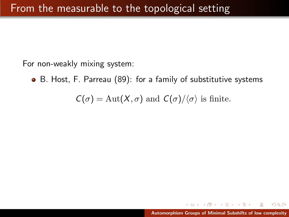For non-weakly mixing system:

B. Host, F. Parreau (89): for a family of substitutive systems

 $C(\sigma) = \text{Aut}(X,\sigma)$  and  $C(\sigma)/\langle \sigma \rangle$  is finite.

K 御 ⊁ K 唐 ⊁ K 唐 ⊁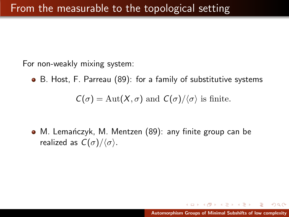For non-weakly mixing system:

B. Host, F. Parreau (89): for a family of substitutive systems

 $C(\sigma) = \text{Aut}(X,\sigma)$  and  $C(\sigma)/\langle \sigma \rangle$  is finite.

• M. Lemańczyk, M. Mentzen (89): any finite group can be realized as  $C(\sigma)/\langle \sigma \rangle$ .

メタメメ ミメメ ミメー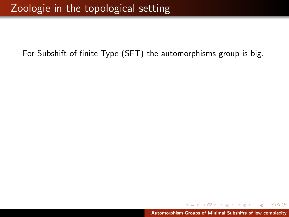御 ト マミ ト マミ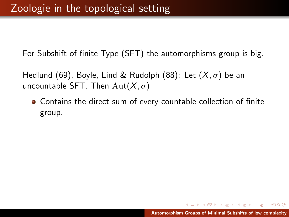Hedlund (69), Boyle, Lind & Rudolph (88): Let  $(X,\sigma)$  be an uncountable SFT. Then  $\text{Aut}(X,\sigma)$ 

Contains the direct sum of every countable collection of finite group.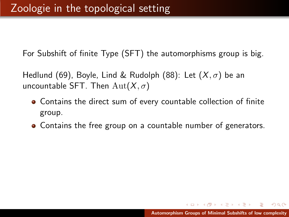Hedlund (69), Boyle, Lind & Rudolph (88): Let  $(X,\sigma)$  be an uncountable SFT. Then  $\text{Aut}(X,\sigma)$ 

- Contains the direct sum of every countable collection of finite group.
- Contains the free group on a countable number of generators.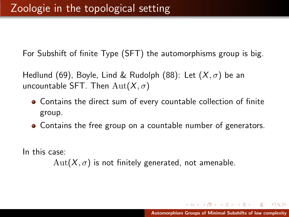Hedlund (69), Boyle, Lind & Rudolph (88): Let  $(X,\sigma)$  be an uncountable SFT. Then  $\text{Aut}(X,\sigma)$ 

- Contains the direct sum of every countable collection of finite group.
- Contains the free group on a countable number of generators.

In this case:

 $Aut(X,\sigma)$  is not finitely generated, not amenable.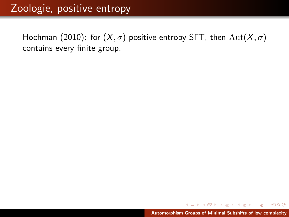# Zoologie, positive entropy

Hochman (2010): for  $(X, \sigma)$  positive entropy SFT, then  $Aut(X, \sigma)$ contains every finite group.

 $\leftarrow$   $\Box$ 

K 御 ▶ K 唐 ▶ K 唐 ▶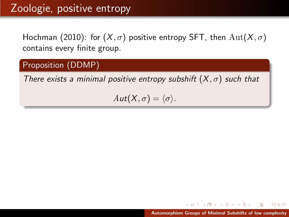# Zoologie, positive entropy

Hochman (2010): for  $(X, \sigma)$  positive entropy SFT, then  $\text{Aut}(X, \sigma)$ contains every finite group.

# Proposition (DDMP)

There exists a minimal positive entropy subshift  $(X,\sigma)$  such that

 $Aut(X,\sigma) = \langle \sigma \rangle$ .

メタトメミトメミト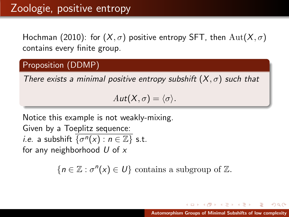Hochman (2010): for  $(X, \sigma)$  positive entropy SFT, then  $Aut(X, \sigma)$ contains every finite group.

# Proposition (DDMP)

There exists a minimal positive entropy subshift  $(X,\sigma)$  such that

 $Aut(X, \sigma) = \langle \sigma \rangle$ .

Notice this example is not weakly-mixing. Given by a Toeplitz sequence: *i.e.* a subshift  $\overline{\{\sigma^n(x) : n \in \mathbb{Z}\}}$  s.t. for any neighborhood  $U$  of  $x$ 

 ${n \in \mathbb{Z} : \sigma^{n}(x) \in U}$  contains a subgroup of  $\mathbb{Z}$ .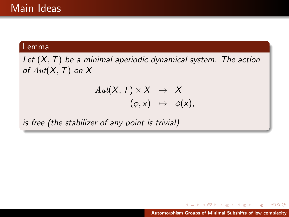### Lemma

Let  $(X, T)$  be a minimal aperiodic dynamical system. The action of  $Aut(X, T)$  on X

$$
Aut(X, T) \times X \rightarrow X
$$
  

$$
(\phi, x) \mapsto \phi(x),
$$

is free (the stabilizer of any point is trivial).

→ 御 > → 君 > → 君 >

 $2Q$ 

a mills.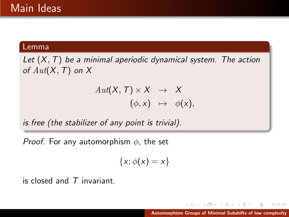#### Lemma

Let  $(X, T)$  be a minimal aperiodic dynamical system. The action of  $Aut(X, T)$  on X

$$
\begin{array}{rcl} Aut(X,\,T)\times X & \to & X \\ (\phi, x) & \mapsto & \phi(x), \end{array}
$$

is free (the stabilizer of any point is trivial).

*Proof.* For any automorphism  $\phi$ , the set

$$
\{x; \phi(x) = x\}
$$

is closed and  $T$  invariant.

 $4.60 \times 4.75 \times 4.75$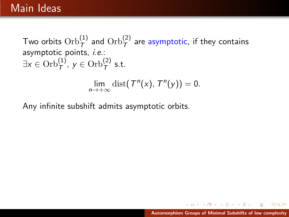Two orbits  $\mathrm{Orb}^{(1)}_{\mathcal{T}}$  and  $\mathrm{Orb}^{(2)}_{\mathcal{T}}$  are asymptotic, if they contains asymptotic points, i.e.:  $\exists x \in \mathrm{Orb}^{(1)}_{\mathcal{T}}, y \in \mathrm{Orb}^{(2)}_{\mathcal{T}}$  s.t.

$$
\lim_{n\to+\infty} \mathrm{dist}(T^n(x),T^n(y))=0.
$$

Any infinite subshift admits asymptotic orbits.

K 御 ▶ K 唐 ▶ K 唐 ▶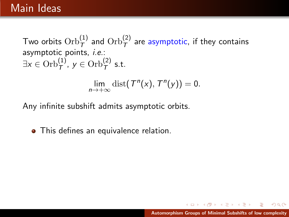Two orbits  $\mathrm{Orb}^{(1)}_{\mathcal{T}}$  and  $\mathrm{Orb}^{(2)}_{\mathcal{T}}$  are asymptotic, if they contains asymptotic points, i.e.:  $\exists x \in \mathrm{Orb}^{(1)}_{\mathcal{T}}, y \in \mathrm{Orb}^{(2)}_{\mathcal{T}}$  s.t.

$$
\lim_{n\to+\infty} \mathrm{dist}(T^n(x),T^n(y))=0.
$$

Any infinite subshift admits asymptotic orbits.

• This defines an equivalence relation.

 $AB = 4B + 4B$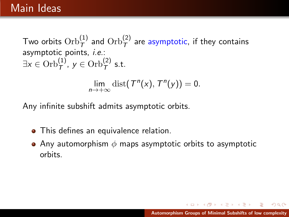Two orbits  $\mathrm{Orb}^{(1)}_{\mathcal{T}}$  and  $\mathrm{Orb}^{(2)}_{\mathcal{T}}$  are asymptotic, if they contains asymptotic points, i.e.:  $\exists x \in \mathrm{Orb}^{(1)}_{\mathcal{T}}, y \in \mathrm{Orb}^{(2)}_{\mathcal{T}}$  s.t.

$$
\lim_{n\to+\infty} \mathrm{dist}(T^n(x),T^n(y))=0.
$$

Any infinite subshift admits asymptotic orbits.

- This defines an equivalence relation.
- Any automorphism  $\phi$  maps asymptotic orbits to asymptotic orbits.

 $\left\{ \bigoplus_{i=1}^{n} \mathbb{P} \left[ \bigoplus_{i=1}^{n} \mathbb{P} \left[ \bigoplus_{i=1}^{n} \mathbb{P} \left[ \bigoplus_{i=1}^{n} \mathbb{P} \left[ \bigoplus_{i=1}^{n} \mathbb{P} \left[ \bigoplus_{i=1}^{n} \mathbb{P} \left[ \bigoplus_{i=1}^{n} \mathbb{P} \left[ \bigoplus_{i=1}^{n} \mathbb{P} \left[ \bigoplus_{i=1}^{n} \mathbb{P} \left[ \bigoplus_{i=1}^{n} \mathbb{P} \left[ \bigoplus_{i$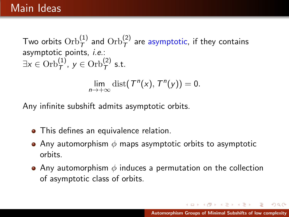Two orbits  $\mathrm{Orb}^{(1)}_{\mathcal{T}}$  and  $\mathrm{Orb}^{(2)}_{\mathcal{T}}$  are asymptotic, if they contains asymptotic points, i.e.:  $\exists x \in \mathrm{Orb}^{(1)}_{\mathcal{T}}, y \in \mathrm{Orb}^{(2)}_{\mathcal{T}}$  s.t.

$$
\lim_{n\to+\infty} \mathrm{dist}(T^n(x),T^n(y))=0.
$$

Any infinite subshift admits asymptotic orbits.

- This defines an equivalence relation.
- Any automorphism  $\phi$  maps asymptotic orbits to asymptotic orbits.
- Any automorphism  $\phi$  induces a permutation on the collection of asymptotic class of orbits.

メタトメミトメミト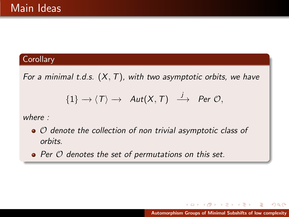For a minimal t.d.s.  $(X, T)$ , with two asymptotic orbits, we have

$$
\{1\} \longrightarrow \langle T \rangle \longrightarrow \text{Aut}(X,T) \stackrel{j}{\longrightarrow} \text{Per } \mathcal{O},
$$

where :

- $\bullet$   $\circ$  denote the collection of non trivial asymptotic class of orbits.
- $\bullet$  Per  $\circ$  denotes the set of permutations on this set.

 $\leftarrow$   $\Box$ 

メタト メミト メミト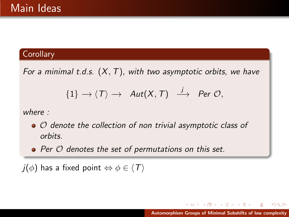For a minimal t.d.s.  $(X, T)$ , with two asymptotic orbits, we have

$$
\{1\} \longrightarrow \langle T \rangle \longrightarrow \text{Aut}(X,T) \stackrel{j}{\longrightarrow} \text{Per } \mathcal{O},
$$

where :

- $\bullet$   $\circ$  denote the collection of non trivial asymptotic class of orbits.
- $\bullet$  Per  $\circ$  denotes the set of permutations on this set.

 $j(\phi)$  has a fixed point  $\Leftrightarrow \phi \in \langle T \rangle$ 

メ御 トメ ミト メモト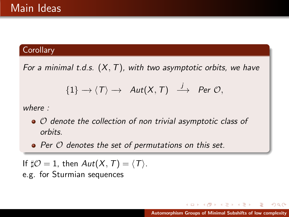For a minimal t.d.s.  $(X, T)$ , with two asymptotic orbits, we have

$$
\{1\} \longrightarrow \langle T \rangle \longrightarrow \text{Aut}(X,T) \stackrel{j}{\longrightarrow} \text{Per } \mathcal{O},
$$

where :

- $\bullet$   $\circ$  denote the collection of non trivial asymptotic class of orbits.
- $\bullet$  Per  $\circ$  denotes the set of permutations on this set.

If  $\sharp \mathcal{O} = 1$ , then  $Aut(X, T) = \langle T \rangle$ . e.g. for Sturmian sequences

K 御 ▶ K 唐 ▶ K 唐 ▶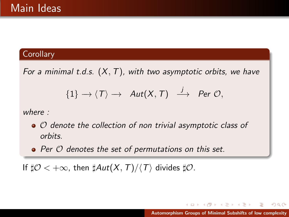For a minimal t.d.s.  $(X, T)$ , with two asymptotic orbits, we have

$$
\{1\} \longrightarrow \langle T \rangle \longrightarrow \text{Aut}(X,T) \stackrel{j}{\longrightarrow} \text{Per } \mathcal{O},
$$

where :

- $\bullet$   $\circ$  denote the collection of non trivial asymptotic class of orbits.
- $\bullet$  Per  $\circ$  denotes the set of permutations on this set.

If  $\sharp \mathcal{O} < +\infty$ , then  $\sharp Aut(X, T)/\langle T \rangle$  divides  $\sharp \mathcal{O}$ .

メタメメ ミメメ ミメ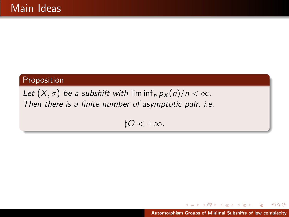### Proposition

Let  $(X, \sigma)$  be a subshift with lim inf<sub>n</sub>  $p_X(n)/n < \infty$ . Then there is a finite number of asymptotic pair, i.e.

 $\sharp \mathcal{O} < +\infty$ .

イロト イ部 トイミト イヨト [Automorphism Groups of Minimal Subshifts of low complexity](#page-0-0)

 $2Q$ 

в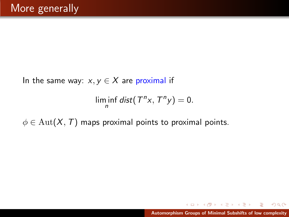In the same way:  $x, y \in X$  are proximal if

$$
\liminf_n dist(T^n x, T^n y) = 0.
$$

 $\phi \in \text{Aut}(X, T)$  maps proximal points to proximal points.

メタトメミトメミト

 $2Q$ 

a mills.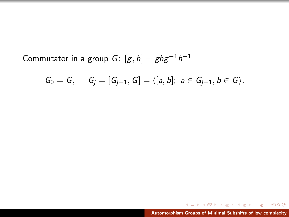Commutator in a group  $G \colon [g,h] = ghg^{-1}h^{-1}$ 

$$
G_0 = G, \quad G_j = [G_{j-1}, G] = \langle [a, b]; a \in G_{j-1}, b \in G \rangle.
$$

E

 $299$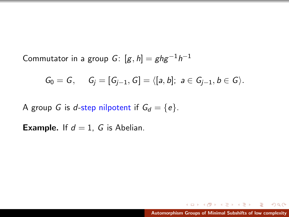Commutator in a group  $G \colon [g,h] = ghg^{-1}h^{-1}$ 

$$
G_0 = G, \quad G_j = [G_{j-1}, G] = \langle [a, b]; a \in G_{j-1}, b \in G \rangle.
$$

A group G is d-step nilpotent if  $G_d = \{e\}.$ 

**Example.** If  $d = 1$ , G is Abelian.

 $\Omega$ 

遥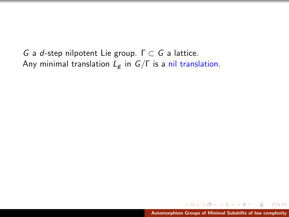G a d-step nilpotent Lie group.  $Γ ⊂ G$  a lattice. Any minimal translation  $L_g$  in  $G/\Gamma$  is a nil translation.

メ御 メメ ミメメ ミメ

 $\Omega$ 

a mills.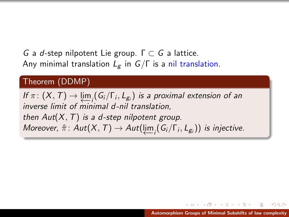G a d-step nilpotent Lie group.  $\Gamma \subset G$  a lattice. Any minimal translation  $L_g$  in  $G/\Gamma$  is a nil translation.

#### Theorem (DDMP)

If  $\pi \colon (X, T) \to \varprojlim_i (G_i/\Gamma_i, L_{g_i})$  is a proximal extension of an inverse limit of minimal d-nil translation, then  $Aut(X, T)$  is a d-step nilpotent group. Moreover,  $\hat{\pi}$ : Aut $(X, \mathcal{T}) \rightarrow Aut(\varprojlim_i (G_i/\Gamma_i, L_{g_i}))$  is injective.

しょうしょ ミュース ミュー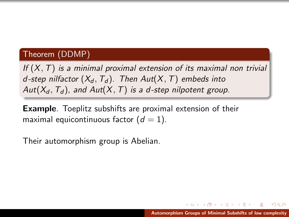If  $(X, T)$  is a minimal proximal extension of its maximal non trivial d-step nilfactor  $(X_d, T_d)$ . Then Aut $(X, T)$  embeds into Aut( $X_d$ ,  $T_d$ ), and Aut( $X$ , T) is a d-step nilpotent group.

Example. Toeplitz subshifts are proximal extension of their maximal equicontinuous factor  $(d = 1)$ .

Their automorphism group is Abelian.

メタトメミトメミト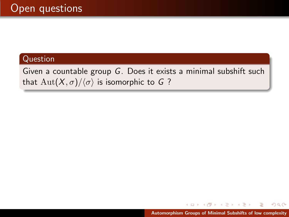Given a countable group G. Does it exists a minimal subshift such that  $\text{Aut}(X,\sigma)/\langle \sigma \rangle$  is isomorphic to G ?

メ御 トメ ミトメ ミト

 $2Q$ 

a mills.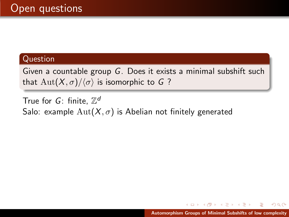Given a countable group G. Does it exists a minimal subshift such that  $\text{Aut}(X,\sigma)/\langle \sigma \rangle$  is isomorphic to G ?

True for  $G$ : finite,  $\mathbb{Z}^d$ Salo: example  $\text{Aut}(X,\sigma)$  is Abelian not finitely generated

[Automorphism Groups of Minimal Subshifts of low complexity](#page-0-0)

母→ マミ→ マミ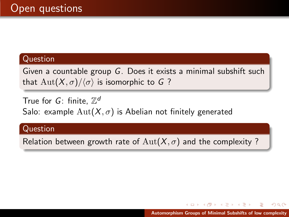Given a countable group G. Does it exists a minimal subshift such that  $\text{Aut}(X,\sigma)/\langle \sigma \rangle$  is isomorphic to G ?

True for  $G$ : finite,  $\mathbb{Z}^d$ Salo: example  $\text{Aut}(X,\sigma)$  is Abelian not finitely generated

#### Question

Relation between growth rate of  $Aut(X, \sigma)$  and the complexity?